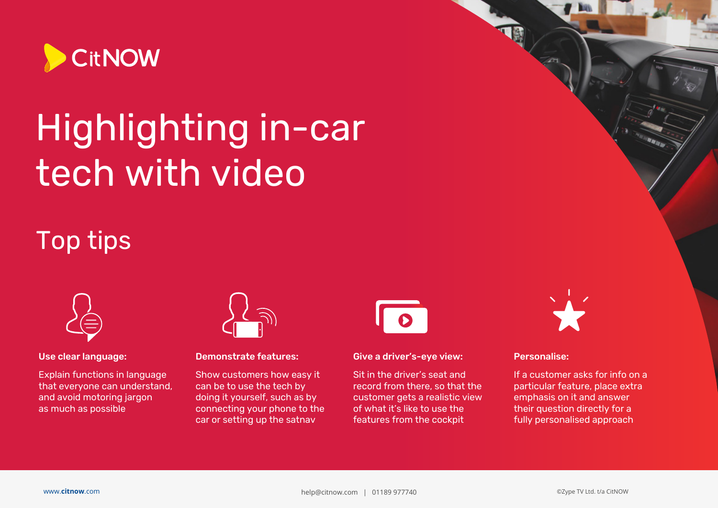

# Highlighting in-car tech with video

## Top tips



#### Use clear language:

Explain functions in language that everyone can understand, and avoid motoring jargon as much as possible



#### Demonstrate features:

Show customers how easy it can be to use the tech by doing it yourself, such as by connecting your phone to the car or setting up the satnav



Give a driver's-eye view:

Sit in the driver's seat and record from there, so that the customer gets a realistic view of what it's like to use the features from the cockpit



#### Personalise:

If a customer asks for info on a particular feature, place extra emphasis on it and answer their question directly for a fully personalised approach